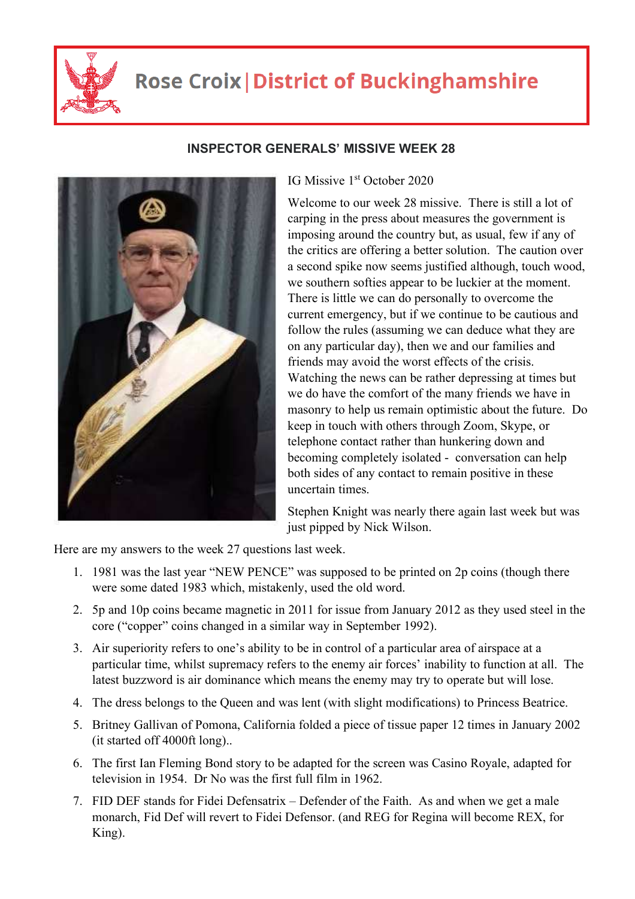

## **Rose Croix | District of Buckinghamshire**



## **INSPECTOR GENERALS' MISSIVE WEEK 28**

IG Missive 1st October 2020

Welcome to our week 28 missive. There is still a lot of carping in the press about measures the government is imposing around the country but, as usual, few if any of the critics are offering a better solution. The caution over a second spike now seems justified although, touch wood, we southern softies appear to be luckier at the moment. There is little we can do personally to overcome the current emergency, but if we continue to be cautious and follow the rules (assuming we can deduce what they are on any particular day), then we and our families and friends may avoid the worst effects of the crisis. Watching the news can be rather depressing at times but we do have the comfort of the many friends we have in masonry to help us remain optimistic about the future. Do keep in touch with others through Zoom, Skype, or telephone contact rather than hunkering down and becoming completely isolated - conversation can help both sides of any contact to remain positive in these uncertain times.

Stephen Knight was nearly there again last week but was just pipped by Nick Wilson.

Here are my answers to the week 27 questions last week.

- 1. 1981 was the last year "NEW PENCE" was supposed to be printed on 2p coins (though there were some dated 1983 which, mistakenly, used the old word.
- 2. 5p and 10p coins became magnetic in 2011 for issue from January 2012 as they used steel in the core ("copper" coins changed in a similar way in September 1992).
- 3. Air superiority refers to one's ability to be in control of a particular area of airspace at a particular time, whilst supremacy refers to the enemy air forces' inability to function at all. The latest buzzword is air dominance which means the enemy may try to operate but will lose.
- 4. The dress belongs to the Queen and was lent (with slight modifications) to Princess Beatrice.
- 5. Britney Gallivan of Pomona, California folded a piece of tissue paper 12 times in January 2002 (it started off 4000ft long)..
- 6. The first Ian Fleming Bond story to be adapted for the screen was Casino Royale, adapted for television in 1954. Dr No was the first full film in 1962.
- 7. FID DEF stands for Fidei Defensatrix Defender of the Faith. As and when we get a male monarch, Fid Def will revert to Fidei Defensor. (and REG for Regina will become REX, for King).